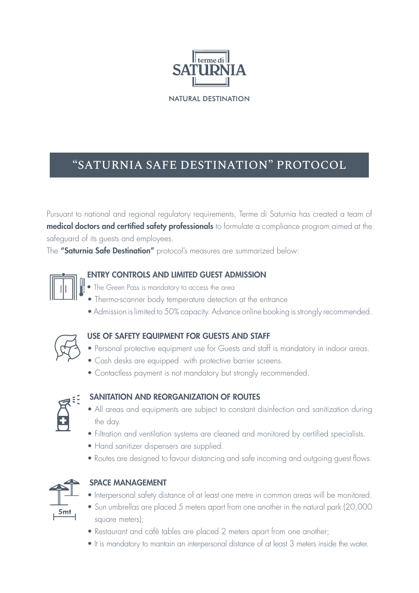

**NATURAL DESTINATION** 

# "SATURNIA SAFE DESTINATION" PROTOCOL

Pursuant to national and regional regulatory requirements, Terme di Saturnia has created a team of medical doctors and certified safety professionals to formulate a compliance program aimed at the safeguard of its guests and employees.

The "Saturnia Safe Destination" protocol's measures are summarized below:



#### ENTRY CONTROLS AND LIMITED GUEST ADMISSION

- The Green Pass is mandatory to access the area
- Thermo-scanner body temperature detection at the entrance
- Admission is limited to 50% capacity. Advance online booking is strongly recommended.



#### USE OF SAFETY EQUIPMENT FOR GUESTS AND STAFF

- Personal protective equipment use for Guests and staff is mandatory in indoor areas.
- Cash desks are equipped with protective barrier screens.
- Contactless payment is not mandatory but strongly recommended.



# SANITATION AND REORGANIZATION OF ROUTES

- All areas and equipments are subject to constant disinfection and sanitization during the day.
- Filtration and ventilation systems are cleaned and monitored by certified specialists.
- Hand sanitizer dispensers are supplied.
- Routes are designed to favour distancing and safe incoming and outgoing guest flows.



# SPACE MANAGEMENT

- Interpersonal safety distance of at least one metre in common areas will be monitored.
- Sun umbrellas are placed 5 meters apart from one another in the natural park (20,000 square meters);
- Restaurant and cafè tables are placed 2 meters apart from one another;
- It is mandatory to mantain an interpersonal distance of at least 3 meters inside the water.